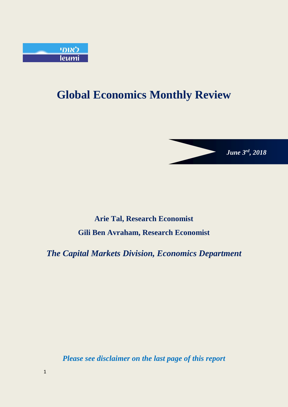

1

# **Global Economics Monthly Review**

*June 3 rd, 2018*

## **Arie Tal, Research Economist Gili Ben Avraham, Research Economist**

*The Capital Markets Division, Economics Department*

*Please see disclaimer on the last page of this report*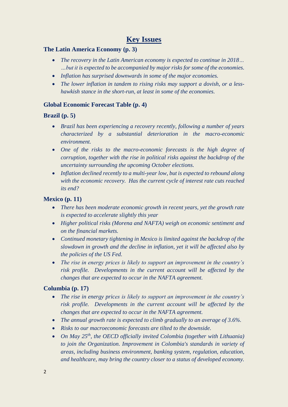## **Key Issues**

## **The Latin America Economy (p. 3)**

- *The recovery in the Latin American economy is expected to continue in 2018… …but it is expected to be accompanied by major risks for some of the economies.*
- *Inflation has surprised downwards in some of the major economies.*
- *The lower inflation in tandem to rising risks may support a dovish, or a lesshawkish stance in the short-run, at least in some of the economies.*

## **Global Economic Forecast Table (p. 4)**

## **Brazil (p. 5)**

- *Brazil has been experiencing a recovery recently, following a number of years characterized by a substantial deterioration in the macro-economic environment.*
- *One of the risks to the macro-economic forecasts is the high degree of corruption, together with the rise in political risks against the backdrop of the uncertainty surrounding the upcoming October elections.*
- *Inflation declined recently to a multi-year low, but is expected to rebound along with the economic recovery. Has the current cycle of interest rate cuts reached its end?*

## **Mexico (p. 11)**

- *There has been moderate economic growth in recent years, yet the growth rate is expected to accelerate slightly this year*
- *Higher political risks (Morena and NAFTA) weigh on economic sentiment and on the financial markets.*
- *Continued monetary tightening in Mexico is limited against the backdrop of the slowdown in growth and the decline in inflation, yet it will be affected also by the policies of the US Fed.*
- *The rise in energy prices is likely to support an improvement in the country's risk profile. Developments in the current account will be affected by the changes that are expected to occur in the NAFTA agreement.*

## **Columbia (p. 17)**

- *The rise in energy prices is likely to support an improvement in the country's risk profile. Developments in the current account will be affected by the changes that are expected to occur in the NAFTA agreement.*
- *The annual growth rate is expected to climb gradually to an average of 3.6%.*
- *Risks to our macroeconomic forecasts are tilted to the downside.*
- *On May 25th, the OECD officially invited Colombia (together with Lithuania) to join the Organization. Improvement in Colombia's standards in variety of areas, including business environment, banking system, regulation, education, and healthcare, may bring the country closer to a status of developed economy.*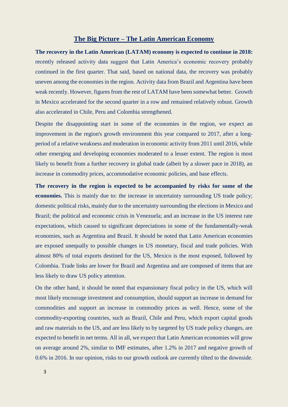### **The Big Picture – The Latin American Economy**

**The recovery in the Latin American (LATAM) economy is expected to continue in 2018:**  recently released activity data suggest that Latin America's economic recovery probably continued in the first quarter. That said, based on national data, the recovery was probably uneven among the economies in the region. Activity data from Brazil and Argentina have been weak recently. However, figures from the rest of LATAM have been somewhat better. Growth in Mexico accelerated for the second quarter in a row and remained relatively robust. Growth also accelerated in Chile, Peru and Colombia strengthened.

Despite the disappointing start in some of the economies in the region, we expect an improvement in the region's growth environment this year compared to 2017, after a longperiod of a relative weakness and moderation in economic activity from 2011 until 2016, while other emerging and developing economies moderated to a lesser extent. The region is most likely to benefit from a further recovery in global trade (albeit by a slower pace in 2018), an increase in commodity prices, accommodative economic policies, and base effects.

**The recovery in the region is expected to be accompanied by risks for some of the economies.** This is mainly due to: the increase in uncertainty surrounding US trade policy; domestic political risks, mainly due to the uncertainty surrounding the elections in Mexico and Brazil; the political and economic crisis in Venezuela; and an increase in the US interest rate expectations, which caused to significant depreciations in some of the fundamentally-weak economies, such as Argentina and Brazil. It should be noted that Latin American economies are exposed unequally to possible changes in US monetary, fiscal and trade policies. With almost 80% of total exports destined for the US, Mexico is the most exposed, followed by Colombia. Trade links are lower for Brazil and Argentina and are composed of items that are less likely to draw US policy attention.

On the other hand, it should be noted that expansionary fiscal policy in the US, which will most likely encourage investment and consumption, should support an increase in demand for commodities and support an increase in commodity prices as well. Hence, some of the commodity-exporting countries, such as Brazil, Chile and Peru, which export capital goods and raw materials to the US, and are less likely to by targeted by US trade policy changes, are expected to benefit in net terms. All in all, we expect that Latin American economies will grow on average around 2%, similar to IMF estimates, after 1.2% in 2017 and negative growth of 0.6% in 2016. In our opinion, risks to our growth outlook are currently tilted to the downside.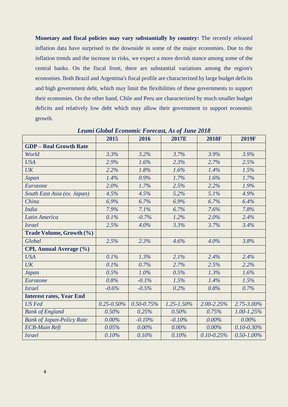**Monetary and fiscal policies may vary substantially by country:** The recently released inflation data have surprised to the downside in some of the major economies. Due to the inflation trends and the increase in risks, we expect a more dovish stance among some of the central banks. On the fiscal front, there are substantial variations among the region's economies. Both Brazil and Argentina's fiscal profile are characterized by large budget deficits and high government debt, which may limit the flexibilities of these governments to support their economies. On the other hand, Chile and Peru are characterized by much smaller budget deficits and relatively low debt which may allow their government to support economic growth.

|                                  | 2015            | 2016            | 2017E           | <b>2018F</b>    | <b>2019F</b>    |
|----------------------------------|-----------------|-----------------|-----------------|-----------------|-----------------|
| <b>GDP</b> - Real Growth Rate    |                 |                 |                 |                 |                 |
| World                            | 3.3%            | 3.2%            | 3.7%            | 3.9%            | 3.9%            |
| <b>USA</b>                       | 2.9%            | 1.6%            | 2.3%            | 2.7%            | 2.5%            |
| UK                               | 2.2%            | 1.8%            | 1.6%            | 1.4%            | 1.5%            |
| <b>Japan</b>                     | 1.4%            | 0.9%            | 1.7%            | 1.6%            | 1.7%            |
| Eurozone                         | 2.0%            | 1.7%            | 2.5%            | 2.2%            | 1.9%            |
| South East Asia (ex. Japan)      | 4.5%            | 4.5%            | 5.2%            | 5.1%            | 4.9%            |
| China                            | 6.9%            | 6.7%            | 6.9%            | 6.7%            | 6.4%            |
| <b>India</b>                     | 7.9%            | 7.1%            | 6.7%            | 7.6%            | 7.8%            |
| <b>Latin America</b>             | 0.1%            | $-0.7%$         | 1.2%            | 2.0%            | 2.4%            |
| <b>Israel</b>                    | 2.5%            | 4.0%            | 3.3%            | 3.7%            | 3.4%            |
| Trade Volume, Growth (%)         |                 |                 |                 |                 |                 |
| Global                           | 2.5%            | 2.3%            | 4.6%            | 4.0%            | 3.8%            |
| CPI, Annual Average (%)          |                 |                 |                 |                 |                 |
| <b>USA</b>                       | 0.1%            | 1.3%            | 2.1%            | 2.4%            | 2.4%            |
| <b>UK</b>                        | 0.1%            | 0.7%            | 2.7%            | 2.5%            | 2.2%            |
| <b>Japan</b>                     | 0.5%            | 1.0%            | 0.5%            | 1.3%            | 1.6%            |
| Eurozone                         | 0.8%            | $-0.1%$         | 1.5%            | 1.4%            | 1.5%            |
| <b>Israel</b>                    | $-0.6%$         | $-0.5%$         | 0.2%            | 0.8%            | 0.7%            |
| <b>Interest rates, Year End</b>  |                 |                 |                 |                 |                 |
| <b>US</b> Fed                    | $0.25 - 0.50\%$ | $0.50 - 0.75\%$ | $1.25 - 1.50\%$ | $2.00 - 2.25\%$ | $2.75 - 3.00\%$ |
| <b>Bank of England</b>           | 0.50%           | 0.25%           | 0.50%           | 0.75%           | $1.00 - 1.25\%$ |
| <b>Bank of Japan-Policy Rate</b> | $0.00\%$        | $-0.10%$        | $-0.10%$        | $0.00\%$        | $0.00\%$        |
| <b>ECB-Main Refi</b>             | 0.05%           | $0.00\%$        | $0.00\%$        | $0.00\%$        | $0.10 - 0.30\%$ |
| <b>Israel</b>                    | 0.10%           | 0.10%           | 0.10%           | $0.10 - 0.25\%$ | $0.50 - 1.00\%$ |

*Leumi Global Economic Forecast, As of June 2018*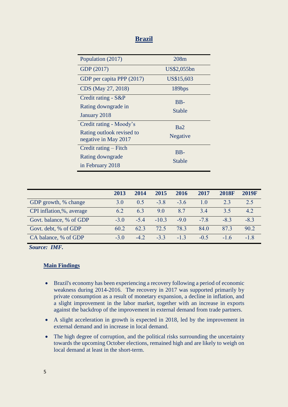## **Brazil**

| Population (2017)         | 208m            |
|---------------------------|-----------------|
| GDP (2017)                | US\$2,055bn     |
| GDP per capita PPP (2017) | US\$15,603      |
| CDS (May 27, 2018)        | 189bps          |
| Credit rating - S&P       | $BB-$           |
| Rating downgrade in       | Stable          |
| January 2018              |                 |
| Credit rating - Moody's   | Ba2             |
| Rating outlook revised to | <b>Negative</b> |
| negative in May 2017      |                 |
| Credit rating – Fitch     | B <sub>B</sub>  |
| Rating downgrade          | Stable          |
| in February 2018          |                 |

|                          | 2013   | 2014  | 2015   | 2016  | 2017   | <b>2018F</b> | 2019F |
|--------------------------|--------|-------|--------|-------|--------|--------------|-------|
| GDP growth, % change     | 3.0    | 0.5   | $-3.8$ | $-36$ | 10     | 2.3          | 2.5   |
| CPI inflation,%, average | 6.2    | 63    | 90     | 87    | 34     | 3.5          | 42    |
| Govt. balance, % of GDP  | $-3.0$ | $-54$ | $-103$ | $-90$ | $-78$  | $-8.3$       | $-83$ |
| Govt. debt, % of GDP     | 60.2   | 62.3  | 72.5   | 78.3  | 84.0   | 873          | 90.2  |
| CA balance, % of GDP     | $-3.0$ | $-42$ | $-33$  | $-13$ | $-0.5$ | $-16$        | -18   |

*Source: IMF.*

## **Main Findings**

- Brazil's economy has been experiencing a recovery following a period of economic weakness during 2014-2016. The recovery in 2017 was supported primarily by private consumption as a result of monetary expansion, a decline in inflation, and a slight improvement in the labor market, together with an increase in exports against the backdrop of the improvement in external demand from trade partners.
- A slight acceleration in growth is expected in 2018, led by the improvement in external demand and in increase in local demand.
- The high degree of corruption, and the political risks surrounding the uncertainty towards the upcoming October elections, remained high and are likely to weigh on local demand at least in the short-term.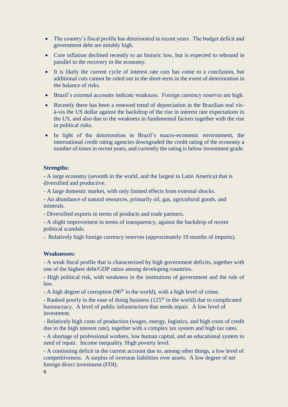- The country's fiscal profile has deteriorated in recent years. The budget deficit and government debt are notably high.
- Core inflation declined recently to an historic low, but is expected to rebound in parallel to the recovery in the economy.
- It is likely the current cycle of interest rate cuts has come to a conclusion, but additional cuts cannot be ruled out in the short-term in the event of deterioration in the balance of risks.
- Brazil's external accounts indicate weakness. Foreign currency reserves are high.
- Recently there has been a renewed trend of depreciation in the Brazilian real visà-vis the US dollar against the backdrop of the rise in interest rate expectations in the US, and also due to the weakness in fundamental factors together with the rise in political risks.
- In light of the deterioration in Brazil's macro-economic environment, the international credit rating agencies downgraded the credit rating of the economy a number of times in recent years, and currently the rating is below investment grade.

#### **Strengths:**

- A large economy (seventh in the world, and the largest in Latin America) that is diversified and productive.

- A large domestic market, with only limited effects from external shocks.

- An abundance of natural resources, primarily oil, gas, agricultural goods, and minerals.

- Diversified exports in terms of products and trade partners.

- A slight improvement in terms of transparency, against the backdrop of recent political scandals.

- Relatively high foreign currency reserves (approximately 19 months of imports).

#### **Weaknesses:**

- A weak fiscal profile that is characterized by high government deficits, together with one of the highest debt/GDP ratios among developing countries.

- High political risk, with weakness in the institutions of government and the rule of law.

- A high degree of corruption (96<sup>th</sup> in the world), with a high level of crime.

- Ranked poorly in the ease of doing business  $(125<sup>th</sup>$  in the world) due to complicated bureaucracy. A level of public infrastructure that needs repair. A low level of investment.

- Relatively high costs of production (wages, energy, logistics, and high costs of credit due to the high interest rate), together with a complex tax system and high tax rates.

- A shortage of professional workers, low human capital, and an educational system in need of repair. Income inequality. High poverty level.

- A continuing deficit in the current account due to, among other things, a low level of competitiveness. A surplus of overseas liabilities over assets. A low degree of net foreign direct investment (FDI).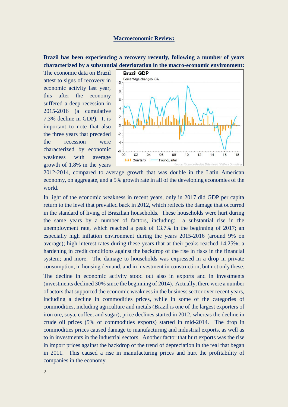#### **Macroeconomic Review:**

**Brazil has been experiencing a recovery recently, following a number of years characterized by a substantial deterioration in the macro-economic environment:** 

The economic data on Brazil attest to signs of recovery in economic activity last year, this after the economy suffered a deep recession in 2015-2016 (a cumulative 7.3% decline in GDP). It is important to note that also the three years that preceded the recession were characterized by economic weakness with average growth of 1.8% in the years



2012-2014, compared to average growth that was double in the Latin American economy, on aggregate, and a 5% growth rate in all of the developing economies of the world.

In light of the economic weakness in recent years, only in 2017 did GDP per capita return to the level that prevailed back in 2012, which reflects the damage that occurred in the standard of living of Brazilian households. These households were hurt during the same years by a number of factors, including: a substantial rise in the unemployment rate, which reached a peak of 13.7% in the beginning of 2017; an especially high inflation environment during the years 2015-2016 (around 9% on average); high interest rates during these years that at their peaks reached 14.25%; a hardening in credit conditions against the backdrop of the rise in risks in the financial system; and more. The damage to households was expressed in a drop in private consumption, in housing demand, and in investment in construction, but not only these.

The decline in economic activity stood out also in exports and in investments (investments declined 30% since the beginning of 2014). Actually, there were a number of actors that supported the economic weakness in the business sector over recent years, including a decline in commodities prices, while in some of the categories of commodities, including agriculture and metals (Brazil is one of the largest exporters of iron ore, soya, coffee, and sugar), price declines started in 2012, whereas the decline in crude oil prices (5% of commodities exports) started in mid-2014. The drop in commodities prices caused damage to manufacturing and industrial exports, as well as to in investments in the industrial sectors. Another factor that hurt exports was the rise in import prices against the backdrop of the trend of depreciation in the real that began in 2011. This caused a rise in manufacturing prices and hurt the profitability of companies in the economy.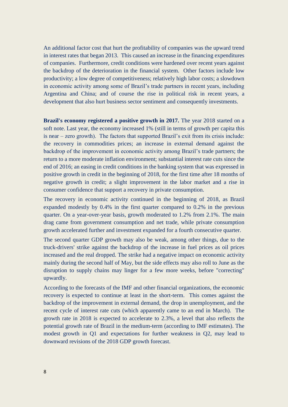An additional factor cost that hurt the profitability of companies was the upward trend in interest rates that began 2013. This caused an increase in the financing expenditures of companies. Furthermore, credit conditions were hardened over recent years against the backdrop of the deterioration in the financial system. Other factors include low productivity; a low degree of competitiveness; relatively high labor costs; a slowdown in economic activity among some of Brazil's trade partners in recent years, including Argentina and China; and of course the rise in political risk in recent years, a development that also hurt business sector sentiment and consequently investments.

**Brazil's economy registered a positive growth in 2017.** The year 2018 started on a soft note. Last year, the economy increased 1% (still in terms of growth per capita this is near – zero growth). The factors that supported Brazil's exit from its crisis include: the recovery in commodities prices; an increase in external demand against the backdrop of the improvement in economic activity among Brazil's trade partners; the return to a more moderate inflation environment; substantial interest rate cuts since the end of 2016; an easing in credit conditions in the banking system that was expressed in positive growth in credit in the beginning of 2018, for the first time after 18 months of negative growth in credit; a slight improvement in the labor market and a rise in consumer confidence that support a recovery in private consumption.

The recovery in economic activity continued in the beginning of 2018, as Brazil expanded modestly by 0.4% in the first quarter compared to 0.2% in the previous quarter. On a year-over-year basis, growth moderated to 1.2% from 2.1%. The main drag came from government consumption and net trade, while private consumption growth accelerated further and investment expanded for a fourth consecutive quarter.

The second quarter GDP growth may also be weak, among other things, due to the truck-drivers' strike against the backdrop of the increase in fuel prices as oil prices increased and the real dropped. The strike had a negative impact on economic activity mainly during the second half of May, but the side effects may also roll to June as the disruption to supply chains may linger for a few more weeks, before "correcting" upwardly.

According to the forecasts of the IMF and other financial organizations, the economic recovery is expected to continue at least in the short-term. This comes against the backdrop of the improvement in external demand, the drop in unemployment, and the recent cycle of interest rate cuts (which apparently came to an end in March). The growth rate in 2018 is expected to accelerate to 2.3%, a level that also reflects the potential growth rate of Brazil in the medium-term (according to IMF estimates). The modest growth in Q1 and expectations for further weakness in Q2, may lead to downward revisions of the 2018 GDP growth forecast.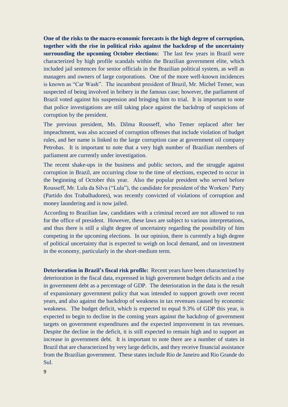**One of the risks to the macro-economic forecasts is the high degree of corruption, together with the rise in political risks against the backdrop of the uncertainty surrounding the upcoming October elections:** The last few years in Brazil were characterized by high profile scandals within the Brazilian government elite, which included jail sentences for senior officials in the Brazilian political system, as well as managers and owners of large corporations. One of the more well-known incidences is known as "Car Wash". The incumbent president of Brazil, Mr. Michel Temer, was suspected of being involved in bribery in the famous case; however, the parliament of Brazil voted against his suspension and bringing him to trial. It is important to note that police investigations are still taking place against the backdrop of suspicions of corruption by the president.

The previous president, Ms. Dilma Rousseff, who Temer replaced after her impeachment, was also accused of corruption offenses that include violation of budget rules, and her name is linked to the large corruption case at government oil company Petrobas. It is important to note that a very high number of Brazilian members of parliament are currently under investigation.

The recent shake-ups in the business and public sectors, and the struggle against corruption in Brazil, are occurring close to the time of elections, expected to occur in the beginning of October this year. Also the popular president who served before Rousseff, Mr. Lula da Silva ("Lula"), the candidate for president of the Workers' Party (Partido dos Trabalhadores), was recently convicted of violations of corruption and money laundering and is now jailed.

According to Brazilian law, candidates with a criminal record are not allowed to run for the office of president. However, these laws are subject to various interpretations, and thus there is still a slight degree of uncertainty regarding the possibility of him competing in the upcoming elections. In our opinion, there is currently a high degree of political uncertainty that is expected to weigh on local demand, and on investment in the economy, particularly in the short-medium term.

**Deterioration in Brazil's fiscal risk profile:** Recent years have been characterized by deterioration in the fiscal data, expressed in high government budget deficits and a rise in government debt as a percentage of GDP. The deterioration in the data is the result of expansionary government policy that was intended to support growth over recent years, and also against the backdrop of weakness in tax revenues caused by economic weakness. The budget deficit, which is expected to equal 9.3% of GDP this year, is expected to begin to decline in the coming years against the backdrop of government targets on government expenditures and the expected improvement in tax revenues. Despite the decline in the deficit, it is still expected to remain high and to support an increase in government debt. It is important to note there are a number of states in Brazil that are characterized by very large deficits, and they receive financial assistance from the Brazilian government. These states include Rio de Janeiro and Rio Grande do Sul.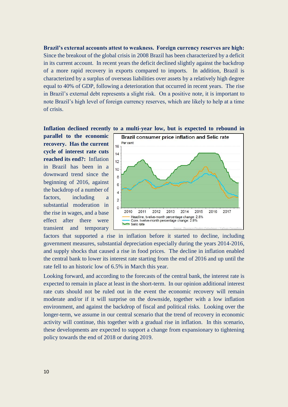**Brazil's external accounts attest to weakness. Foreign currency reserves are high:** Since the breakout of the global crisis in 2008 Brazil has been characterized by a deficit in its current account. In recent years the deficit declined slightly against the backdrop of a more rapid recovery in exports compared to imports. In addition, Brazil is characterized by a surplus of overseas liabilities over assets by a relatively high degree equal to 40% of GDP, following a deterioration that occurred in recent years. The rise in Brazil's external debt represents a slight risk. On a positive note, it is important to note Brazil's high level of foreign currency reserves, which are likely to help at a time of crisis.

**parallel to the economic recovery. Has the current cycle of interest rate cuts reached its end?:** Inflation in Brazil has been in a downward trend since the beginning of 2016, against the backdrop of a number of factors, including a substantial moderation in the rise in wages, and a base effect after there were transient and temporary





factors that supported a rise in inflation before it started to decline, including government measures, substantial depreciation especially during the years 2014-2016, and supply shocks that caused a rise in food prices. The decline in inflation enabled the central bank to lower its interest rate starting from the end of 2016 and up until the rate fell to an historic low of 6.5% in March this year.

Looking forward, and according to the forecasts of the central bank, the interest rate is expected to remain in place at least in the short-term. In our opinion additional interest rate cuts should not be ruled out in the event the economic recovery will remain moderate and/or if it will surprise on the downside, together with a low inflation environment, and against the backdrop of fiscal and political risks. Looking over the longer-term, we assume in our central scenario that the trend of recovery in economic activity will continue, this together with a gradual rise in inflation. In this scenario, these developments are expected to support a change from expansionary to tightening policy towards the end of 2018 or during 2019.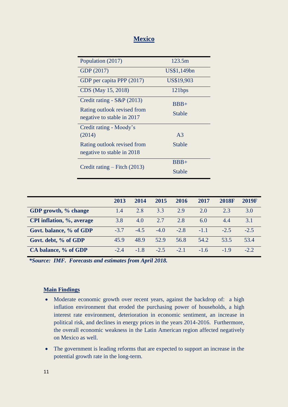## **Mexico**

| Population (2017)                                                                       | 123.5m           |  |  |  |  |
|-----------------------------------------------------------------------------------------|------------------|--|--|--|--|
| GDP (2017)                                                                              | US\$1,149bn      |  |  |  |  |
| GDP per capita PPP (2017)                                                               | US\$19,903       |  |  |  |  |
| CDS (May 15, 2018)                                                                      | 121bps           |  |  |  |  |
| Credit rating - S&P (2013)<br>Rating outlook revised from<br>negative to stable in 2017 | $BBB+$<br>Stable |  |  |  |  |
| Credit rating - Moody's                                                                 |                  |  |  |  |  |
| (2014)                                                                                  | A <sub>3</sub>   |  |  |  |  |
| Rating outlook revised from<br>negative to stable in 2018                               | Stable           |  |  |  |  |
|                                                                                         | $BBB+$           |  |  |  |  |
| Credit rating $-$ Fitch (2013)                                                          |                  |  |  |  |  |
|                                                                                         | Stable           |  |  |  |  |

|                           | 2013   | 2014   | 2015   | 2016   | 2017   | <b>2018F</b> | <b>2019F</b> |
|---------------------------|--------|--------|--------|--------|--------|--------------|--------------|
| GDP growth, % change      | 1.4    | 2.8    | 3.3    | 2.9    | 2.0    | 2.3          | 3.0          |
| CPI inflation, %, average | 3.8    | 4.0    | 2.7    | 2.8    | 6.0    | 4.4          | 3.1          |
| Govt. balance, % of GDP   | $-3.7$ | $-4.5$ | $-4.0$ | $-2.8$ | $-1.1$ | $-2.5$       | $-2.5$       |
| Govt. debt, % of GDP      | 45.9   | 48.9   | 52.9   | 56.8   | 54.2   | 53.5         | 53.4         |
| CA balance, % of GDP      | $-2.4$ | $-1.8$ | $-2.5$ | $-2.1$ | $-1.6$ | $-19$        | $-2.2$       |

*\*Source: IMF. Forecasts and estimates from April 2018.*

## **Main Findings**

- Moderate economic growth over recent years, against the backdrop of: a high inflation environment that eroded the purchasing power of households, a high interest rate environment, deterioration in economic sentiment, an increase in political risk, and declines in energy prices in the years 2014-2016. Furthermore, the overall economic weakness in the Latin American region affected negatively on Mexico as well.
- The government is leading reforms that are expected to support an increase in the potential growth rate in the long-term.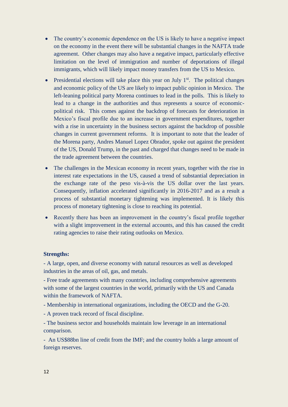- The country's economic dependence on the US is likely to have a negative impact on the economy in the event there will be substantial changes in the NAFTA trade agreement. Other changes may also have a negative impact, particularly effective limitation on the level of immigration and number of deportations of illegal immigrants, which will likely impact money transfers from the US to Mexico.
- Presidential elections will take place this year on July  $1<sup>st</sup>$ . The political changes and economic policy of the US are likely to impact public opinion in Mexico. The left-leaning political party Morena continues to lead in the polls. This is likely to lead to a change in the authorities and thus represents a source of economicpolitical risk. This comes against the backdrop of forecasts for deterioration in Mexico's fiscal profile due to an increase in government expenditures, together with a rise in uncertainty in the business sectors against the backdrop of possible changes in current government reforms. It is important to note that the leader of the Morena party, Andres Manuel Lopez Obrador, spoke out against the president of the US, Donald Trump, in the past and charged that changes need to be made in the trade agreement between the countries.
- The challenges in the Mexican economy in recent years, together with the rise in interest rate expectations in the US, caused a trend of substantial depreciation in the exchange rate of the peso vis-à-vis the US dollar over the last years. Consequently, inflation accelerated significantly in 2016-2017 and as a result a process of substantial monetary tightening was implemented. It is likely this process of monetary tightening is close to reaching its potential.
- Recently there has been an improvement in the country's fiscal profile together with a slight improvement in the external accounts, and this has caused the credit rating agencies to raise their rating outlooks on Mexico.

#### **Strengths:**

- A large, open, and diverse economy with natural resources as well as developed industries in the areas of oil, gas, and metals.

- Free trade agreements with many countries, including comprehensive agreements with some of the largest countries in the world, primarily with the US and Canada within the framework of NAFTA.

- Membership in international organizations, including the OECD and the G-20.
- A proven track record of fiscal discipline.

- The business sector and households maintain low leverage in an international comparison.

- An US\$88bn line of credit from the IMF; and the country holds a large amount of foreign reserves.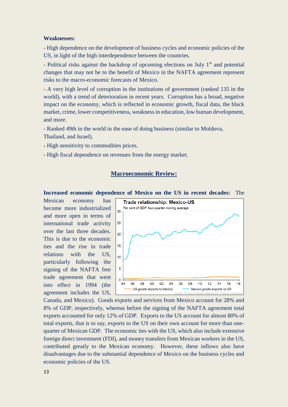#### **Weaknesses:**

- High dependence on the development of business cycles and economic policies of the US, in light of the high interdependence between the countries.

- Political risks against the backdrop of upcoming elections on July  $1<sup>st</sup>$  and potential changes that may not be to the benefit of Mexico in the NAFTA agreement represent risks to the macro-economic forecasts of Mexico.

- A very high level of corruption in the institutions of government (ranked 135 in the world), with a trend of deterioration in recent years. Corruption has a broad, negative impact on the economy, which is reflected in economic growth, fiscal data, the black market, crime, lower competitiveness, weakness in education, low human development, and more.

- Ranked 49th in the world in the ease of doing business (similar to Moldova, Thailand, and Israel).

- High sensitivity to commodities prices.

- High fiscal dependence on revenues from the energy market.

#### **Macroeconomic Review:**

**Increased economic dependence of Mexico on the US in recent decades:** The

Mexican economy has become more industrialized and more open in terms of international trade activity over the last three decades. This is due to the economic ties and the rise in trade relations with the US, particularly following the signing of the NAFTA free trade agreement that went into effect in 1994 (the agreement includes the US,



Canada, and Mexico). Goods exports and services from Mexico account for 28% and 8% of GDP, respectively, whereas before the signing of the NAFTA agreement total exports accounted for only 12% of GDP. Exports to the US account for almost 80% of total exports, that is to say, exports to the US on their own account for more than onequarter of Mexican GDP. The economic ties with the US, which also include extensive foreign direct investment (FDI), and money transfers from Mexican workers in the US, contributed greatly to the Mexican economy. However, these inflows also have disadvantages due to the substantial dependence of Mexico on the business cycles and economic policies of the US.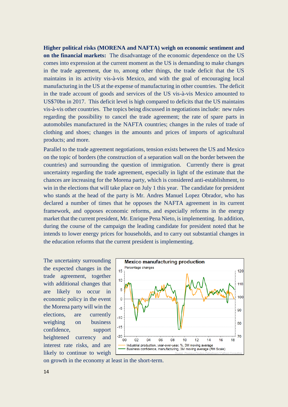**Higher political risks (MORENA and NAFTA) weigh on economic sentiment and on the financial markets:** The disadvantage of the economic dependence on the US comes into expression at the current moment as the US is demanding to make changes in the trade agreement, due to, among other things, the trade deficit that the US maintains in its activity vis-à-vis Mexico, and with the goal of encouraging local manufacturing in the US at the expense of manufacturing in other countries. The deficit in the trade account of goods and services of the US vis-à-vis Mexico amounted to US\$70bn in 2017. This deficit level is high compared to deficits that the US maintains vis-à-vis other countries. The topics being discussed in negotiations include: new rules regarding the possibility to cancel the trade agreement; the rate of spare parts in automobiles manufactured in the NAFTA countries; changes in the rules of trade of clothing and shoes; changes in the amounts and prices of imports of agricultural products; and more.

Parallel to the trade agreement negotiations, tension exists between the US and Mexico on the topic of borders (the construction of a separation wall on the border between the countries) and surrounding the question of immigration. Currently there is great uncertainty regarding the trade agreement, especially in light of the estimate that the chances are increasing for the Morena party, which is considered anti-establishment, to win in the elections that will take place on July 1 this year. The candidate for president who stands at the head of the party is Mr. Andres Manuel Lopez Obrador, who has declared a number of times that he opposes the NAFTA agreement in its current framework, and opposes economic reforms, and especially reforms in the energy market that the current president, Mr. Enrique Pena Nieto, is implementing. In addition, during the course of the campaign the leading candidate for president noted that he intends to lower energy prices for households, and to carry out substantial changes in the education reforms that the current president is implementing.

The uncertainty surrounding the expected changes in the trade agreement, together with additional changes that are likely to occur in economic policy in the event the Morena party will win the elections, are currently weighing on business confidence, support heightened currency and interest rate risks, and are likely to continue to weigh



on growth in the economy at least in the short-term.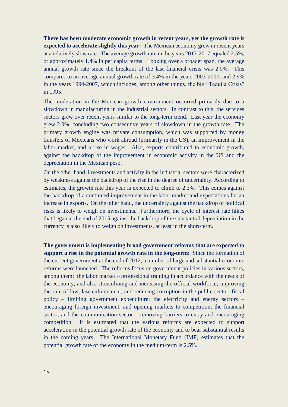**There has been moderate economic growth in recent years, yet the growth rate is expected to accelerate slightly this year:** The Mexican economy grew in recent years at a relatively slow rate. The average growth rate in the years 2013-2017 equaled 2.5%, or approximately 1.4% in per capita terms. Looking over a broader span, the average annual growth rate since the breakout of the last financial crisis was 2.0%. This compares to an average annual growth rate of 3.4% in the years 2003-2007, and 2.9% in the years 1994-2007, which includes, among other things, the big "Tequila Crisis" in 1995.

The moderation in the Mexican growth environment occurred primarily due to a slowdown in manufacturing in the industrial sectors. In contrast to this, the services sectors grew over recent years similar to the long-term trend. Last year the economy grew 2.0%, concluding two consecutive years of slowdown in the growth rate. The primary growth engine was private consumption, which was supported by money transfers of Mexicans who work abroad (primarily in the US), an improvement in the labor market, and a rise in wages. Also, exports contributed to economic growth, against the backdrop of the improvement in economic activity in the US and the depreciation in the Mexican peso.

On the other hand, investments and activity in the industrial sectors were characterized by weakness against the backdrop of the rise in the degree of uncertainty. According to estimates, the growth rate this year is expected to climb to 2.3%. This comes against the backdrop of a continued improvement in the labor market and expectations for an increase in exports. On the other hand, the uncertainty against the backdrop of political risks is likely to weigh on investments. Furthermore, the cycle of interest rate hikes that began at the end of 2015 against the backdrop of the substantial depreciation in the currency is also likely to weigh on investments, at least in the short-term.

**The government is implementing broad government reforms that are expected to support a rise in the potential growth rate in the long-term:** Since the formation of the current government at the end of 2012, a number of large and substantial economic reforms were launched. The reforms focus on government policies in various sectors, among them: the labor market – professional training in accordance with the needs of the economy, and also streamlining and increasing the official workforce; improving the rule of law, law enforcement, and reducing corruption in the public sector; fiscal policy – limiting government expenditure; the electricity and energy sectors – encouraging foreign investment, and opening markets to competition; the financial sector; and the communication sector – removing barriers to entry and encouraging competition. It is estimated that the various reforms are expected to support acceleration in the potential growth rate of the economy and to bear substantial results in the coming years. The International Monetary Fund (IMF) estimates that the potential growth rate of the economy in the medium-term is 2.5%.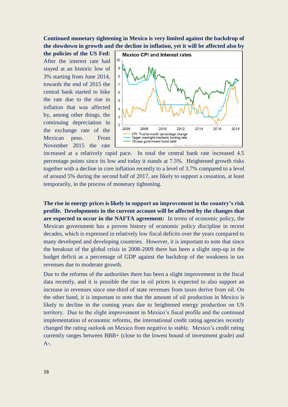**Continued monetary tightening in Mexico is very limited against the backdrop of the slowdown in growth and the decline in inflation, yet it will be affected also by** 

**the policies of the US Fed:** After the interest rate had stayed at an historic low of 3% starting from June 2014, towards the end of 2015 the central bank started to hike the rate due to the rise in inflation that was affected by, among other things, the continuing depreciation in the exchange rate of the Mexican peso. From November 2015 the rate



increased at a relatively rapid pace. In total the central bank rate increased 4.5 percentage points since its low and today it stands at 7.5%. Heightened growth risks together with a decline in core inflation recently to a level of 3.7% compared to a level of around 5% during the second half of 2017, are likely to support a cessation, at least temporarily, in the process of monetary tightening.

**The rise in energy prices is likely to support an improvement in the country's risk profile. Developments in the current account will be affected by the changes that are expected to occur in the NAFTA agreement:** In terms of economic policy, the Mexican government has a proven history of economic policy discipline in recent decades, which is expressed in relatively low fiscal deficits over the years compared to many developed and developing countries. However, it is important to note that since the breakout of the global crisis in 2008-2009 there has been a slight step-up in the budget deficit as a percentage of GDP against the backdrop of the weakness in tax revenues due to moderate growth.

Due to the reforms of the authorities there has been a slight improvement in the fiscal data recently, and it is possible the rise in oil prices is expected to also support an increase in revenues since one-third of state revenues from taxes derive from oil. On the other hand, it is important to note that the amount of oil production in Mexico is likely to decline in the coming years due to heightened energy production on US territory. Due to the slight improvement in Mexico's fiscal profile and the continued implementation of economic reforms, the international credit rating agencies recently changed the rating outlook on Mexico from negative to stable. Mexico's credit rating currently ranges between BBB+ (close to the lowest bound of investment grade) and  $A-$ .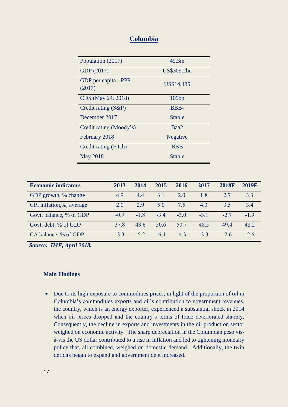## **Columbia**

| Population (2017)              | 49.3m       |
|--------------------------------|-------------|
| GDP (2017)                     | US\$309.2bn |
| GDP per capita - PPP<br>(2017) | US\$14,485  |
| CDS (May 24, 2018)             | 109bp       |
| Credit rating $(S\&P)$         | BBB-        |
| December 2017                  | Stable      |
| Credit rating (Moody's)        | Baa2        |
| February 2018                  | Negative    |
| Credit rating (Fitch)          | <b>BBB</b>  |
| <b>May 2018</b>                | Stable      |

| <b>Economic indicators</b> | 2013   | 2014  | 2015  | 2016   | 2017  | <b>2018F</b> | <b>2019F</b> |
|----------------------------|--------|-------|-------|--------|-------|--------------|--------------|
| GDP growth, % change       | 4.9    | 44    | 3.1   | 2.0    | 18    | 27           | 33           |
| CPI inflation,%, average   | 2.0    | 29    | 5.0   | 75     | 43    | 35           | 34           |
| Govt. balance, % of GDP    | $-0.9$ | $-18$ | $-34$ | $-3.0$ | $-31$ | $-2.7$       | $-19$        |
| Govt. debt, % of GDP       | 378    | 43.6  | 50.6  | 50.7   | 48.5  | 49.4         | 48.2         |
| CA balance, % of GDP       | $-33$  | $-52$ | $-64$ | $-43$  | $-33$ | $-2.6$       | $-26$        |

*Source: IMF, April 2018.*

#### **Main Findings**

 Due to its high exposure to commodities prices, in light of the proportion of oil in Columbia's commodities exports and oil's contribution to government revenues, the country, which is an energy exporter, experienced a substantial shock in 2014 when oil prices dropped and the country's terms of trade deteriorated sharply. Consequently, the decline in exports and investments in the oil production sector weighed on economic activity. The sharp depreciation in the Columbian peso visà-vis the US dollar contributed to a rise in inflation and led to tightening monetary policy that, all combined, weighed on domestic demand. Additionally, the twin deficits began to expand and government debt increased.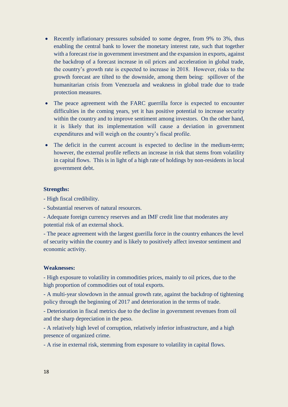- Recently inflationary pressures subsided to some degree, from 9% to 3%, thus enabling the central bank to lower the monetary interest rate, such that together with a forecast rise in government investment and the expansion in exports, against the backdrop of a forecast increase in oil prices and acceleration in global trade, the country's growth rate is expected to increase in 2018. However, risks to the growth forecast are tilted to the downside, among them being: spillover of the humanitarian crisis from Venezuela and weakness in global trade due to trade protection measures.
- The peace agreement with the FARC guerrilla force is expected to encounter difficulties in the coming years, yet it has positive potential to increase security within the country and to improve sentiment among investors. On the other hand, it is likely that its implementation will cause a deviation in government expenditures and will weigh on the country's fiscal profile.
- The deficit in the current account is expected to decline in the medium-term; however, the external profile reflects an increase in risk that stems from volatility in capital flows. This is in light of a high rate of holdings by non-residents in local government debt.

#### **Strengths:**

- High fiscal credibility.

- Substantial reserves of natural resources.

- Adequate foreign currency reserves and an IMF credit line that moderates any potential risk of an external shock.

- The peace agreement with the largest guerilla force in the country enhances the level of security within the country and is likely to positively affect investor sentiment and economic activity.

#### **Weaknesses:**

- High exposure to volatility in commodities prices, mainly to oil prices, due to the high proportion of commodities out of total exports.

- A multi-year slowdown in the annual growth rate, against the backdrop of tightening policy through the beginning of 2017 and deterioration in the terms of trade.

- Deterioration in fiscal metrics due to the decline in government revenues from oil and the sharp depreciation in the peso.

- A relatively high level of corruption, relatively inferior infrastructure, and a high presence of organized crime.

- A rise in external risk, stemming from exposure to volatility in capital flows.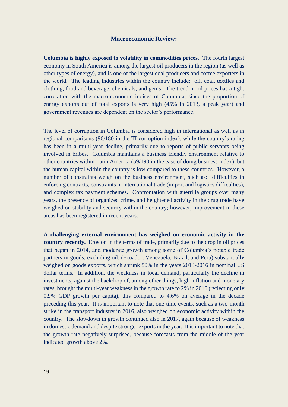### **Macroeconomic Review:**

**Columbia is highly exposed to volatility in commodities prices.** The fourth largest economy in South America is among the largest oil producers in the region (as well as other types of energy), and is one of the largest coal producers and coffee exporters in the world. The leading industries within the country include: oil, coal, textiles and clothing, food and beverage, chemicals, and gems. The trend in oil prices has a tight correlation with the macro-economic indices of Columbia, since the proportion of energy exports out of total exports is very high (45% in 2013, a peak year) and government revenues are dependent on the sector's performance.

The level of corruption in Columbia is considered high in international as well as in regional comparisons (96/180 in the TI corruption index), while the country's rating has been in a multi-year decline, primarily due to reports of public servants being involved in bribes. Columbia maintains a business friendly environment relative to other countries within Latin America (59/190 in the ease of doing business index), but the human capital within the country is low compared to these countries. However, a number of constraints weigh on the business environment, such as: difficulties in enforcing contracts, constraints in international trade (import and logistics difficulties), and complex tax payment schemes. Confrontation with guerrilla groups over many years, the presence of organized crime, and heightened activity in the drug trade have weighed on stability and security within the country; however, improvement in these areas has been registered in recent years.

**A challenging external environment has weighed on economic activity in the country recently.** Erosion in the terms of trade, primarily due to the drop in oil prices that began in 2014, and moderate growth among some of Columbia's notable trade partners in goods, excluding oil, (Ecuador, Venezuela, Brazil, and Peru) substantially weighed on goods exports, which shrunk 50% in the years 2013-2016 in nominal US dollar terms. In addition, the weakness in local demand, particularly the decline in investments, against the backdrop of, among other things, high inflation and monetary rates, brought the multi-year weakness in the growth rate to 2% in 2016 (reflecting only 0.9% GDP growth per capita), this compared to 4.6% on average in the decade preceding this year. It is important to note that one-time events, such as a two-month strike in the transport industry in 2016, also weighed on economic activity within the country. The slowdown in growth continued also in 2017, again because of weakness in domestic demand and despite stronger exports in the year. It is important to note that the growth rate negatively surprised, because forecasts from the middle of the year indicated growth above 2%.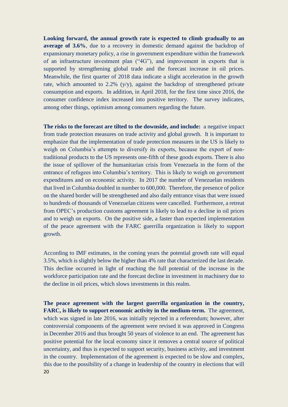**Looking forward, the annual growth rate is expected to climb gradually to an average of 3.6%**, due to a recovery in domestic demand against the backdrop of expansionary monetary policy, a rise in government expenditure within the framework of an infrastructure investment plan ("4G"), and improvement in exports that is supported by strengthening global trade and the forecast increase in oil prices. Meanwhile, the first quarter of 2018 data indicate a slight acceleration in the growth rate, which amounted to  $2.2\%$  (y/y), against the backdrop of strengthened private consumption and exports. In addition, in April 2018, for the first time since 2016, the consumer confidence index increased into positive territory. The survey indicates, among other things, optimism among consumers regarding the future.

**The risks to the forecast are tilted to the downside, and include:** a negative impact from trade protection measures on trade activity and global growth. It is important to emphasize that the implementation of trade protection measures in the US is likely to weigh on Columbia's attempts to diversify its exports, because the export of nontraditional products to the US represents one-fifth of these goods exports. There is also the issue of spillover of the humanitarian crisis from Venezuela in the form of the entrance of refugees into Columbia's territory. This is likely to weigh on government expenditures and on economic activity. In 2017 the number of Venezuelan residents that lived in Columbia doubled in number to 600,000. Therefore, the presence of police on the shared border will be strengthened and also daily entrance visas that were issued to hundreds of thousands of Venezuelan citizens were cancelled. Furthermore, a retreat from OPEC's production customs agreement is likely to lead to a decline in oil prices and to weigh on exports. On the positive side, a faster than expected implementation of the peace agreement with the FARC guerrilla organization is likely to support growth.

According to IMF estimates, in the coming years the potential growth rate will equal 3.5%, which is slightly below the higher than 4% rate that characterized the last decade. This decline occurred in light of reaching the full potential of the increase in the workforce participation rate and the forecast decline in investment in machinery due to the decline in oil prices, which slows investments in this realm.

20 **The peace agreement with the largest guerrilla organization in the country, FARC, is likely to support economic activity in the medium-term.** The agreement, which was signed in late 2016, was initially rejected in a referendum; however, after controversial components of the agreement were revised it was approved in Congress in December 2016 and thus brought 50 years of violence to an end. The agreement has positive potential for the local economy since it removes a central source of political uncertainty, and thus is expected to support security, business activity, and investment in the country. Implementation of the agreement is expected to be slow and complex, this due to the possibility of a change in leadership of the country in elections that will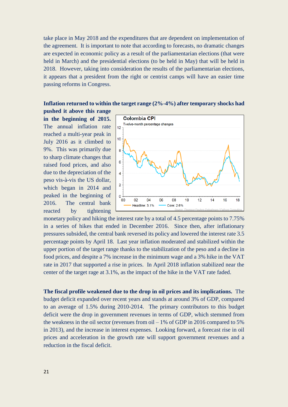take place in May 2018 and the expenditures that are dependent on implementation of the agreement. It is important to note that according to forecasts, no dramatic changes are expected in economic policy as a result of the parliamentarian elections (that were held in March) and the presidential elections (to be held in May) that will be held in 2018. However, taking into consideration the results of the parliamentarian elections, it appears that a president from the right or centrist camps will have an easier time passing reforms in Congress.

#### **Inflation returned to within the target range (2%-4%) after temporary shocks had**

**pushed it above this range in the beginning of 2015.** The annual inflation rate reached a multi-year peak in July 2016 as it climbed to 9%. This was primarily due to sharp climate changes that raised food prices, and also due to the depreciation of the peso vis-à-vis the US dollar, which began in 2014 and peaked in the beginning of 2016. The central bank reacted by tightening



monetary policy and hiking the interest rate by a total of 4.5 percentage points to 7.75% in a series of hikes that ended in December 2016. Since then, after inflationary pressures subsided, the central bank reversed its policy and lowered the interest rate 3.5 percentage points by April 18. Last year inflation moderated and stabilized within the upper portion of the target range thanks to the stabilization of the peso and a decline in food prices, and despite a 7% increase in the minimum wage and a 3% hike in the VAT rate in 2017 that supported a rise in prices. In April 2018 inflation stabilized near the center of the target rage at 3.1%, as the impact of the hike in the VAT rate faded.

**The fiscal profile weakened due to the drop in oil prices and its implications.** The budget deficit expanded over recent years and stands at around 3% of GDP, compared to an average of 1.5% during 2010-2014. The primary contributors to this budget deficit were the drop in government revenues in terms of GDP, which stemmed from the weakness in the oil sector (revenues from oil – 1% of GDP in 2016 compared to 5% in 2013), and the increase in interest expenses. Looking forward, a forecast rise in oil prices and acceleration in the growth rate will support government revenues and a reduction in the fiscal deficit.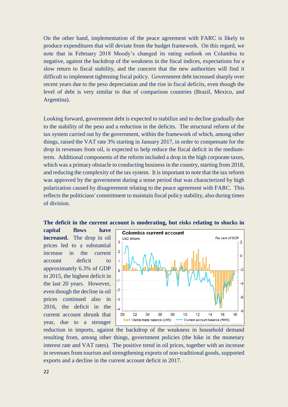On the other hand, implementation of the peace agreement with FARC is likely to produce expenditures that will deviate from the budget framework. On this regard, we note that in February 2018 Moody's changed its rating outlook on Columbia to negative, against the backdrop of the weakness in the fiscal indices, expectations for a slow return to fiscal stability, and the concern that the new authorities will find it difficult to implement tightening fiscal policy. Government debt increased sharply over recent years due to the peso depreciation and the rise in fiscal deficits, even though the level of debt is very similar to that of comparison countries (Brazil, Mexico, and Argentina).

Looking forward, government debt is expected to stabilize and to decline gradually due to the stability of the peso and a reduction in the deficits. The structural reform of the tax system carried out by the government, within the framework of which, among other things, raised the VAT rate 3% starting in January 2017, in order to compensate for the drop in revenues from oil, is expected to help reduce the fiscal deficit in the mediumterm. Additional components of the reform included a drop in the high corporate taxes, which was a primary obstacle to conducting business in the country, starting from 2018, and reducing the complexity of the tax system. It is important to note that the tax reform was approved by the government during a tense period that was characterized by high polarization caused by disagreement relating to the peace agreement with FARC. This reflects the politicians' commitment to maintain fiscal policy stability, also during times of division.

#### **The deficit in the current account is moderating, but risks relating to shocks in**

**capital flows have increased.** The drop in oil prices led to a substantial increase in the current account deficit to approximately 6.3% of GDP in 2015, the highest deficit in the last 20 years. However, even though the decline in oil prices continued also in 2016, the deficit in the current account shrunk that year, due to a stronger



reduction in imports, against the backdrop of the weakness in household demand resulting from, among other things, government policies (the hike in the monetary interest rate and VAT rates). The positive trend in oil prices, together with an increase in revenues from tourism and strengthening exports of non-traditional goods, supported exports and a decline in the current account deficit in 2017.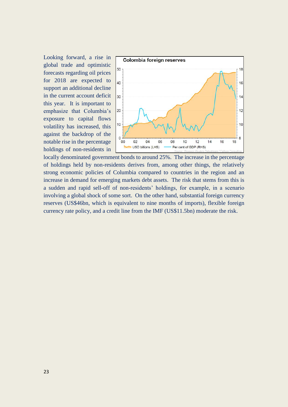Looking forward, a rise in global trade and optimistic forecasts regarding oil prices for 2018 are expected to support an additional decline in the current account deficit this year. It is important to emphasize that Columbia's exposure to capital flows volatility has increased, this against the backdrop of the notable rise in the percentage holdings of non-residents in



locally denominated government bonds to around 25%. The increase in the percentage of holdings held by non-residents derives from, among other things, the relatively strong economic policies of Columbia compared to countries in the region and an increase in demand for emerging markets debt assets. The risk that stems from this is a sudden and rapid sell-off of non-residents' holdings, for example, in a scenario involving a global shock of some sort. On the other hand, substantial foreign currency reserves (US\$46bn, which is equivalent to nine months of imports), flexible foreign currency rate policy, and a credit line from the IMF (US\$11.5bn) moderate the risk.